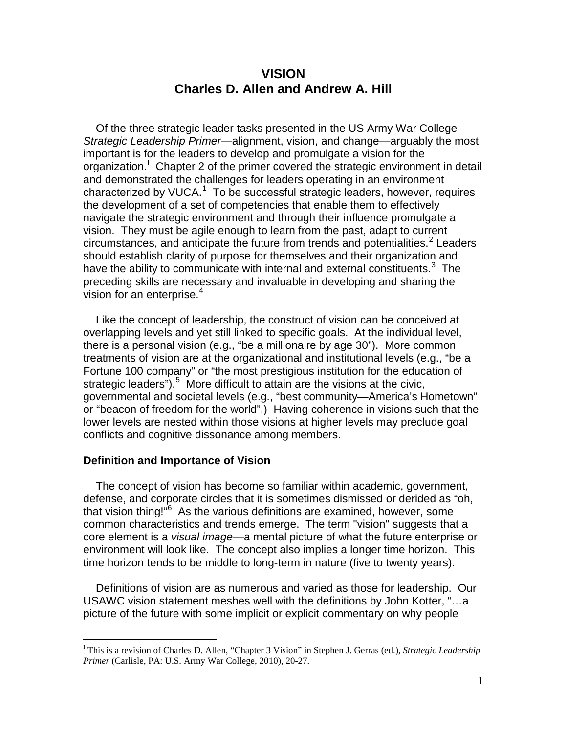# **VISION Charles D. Allen and Andrew A. Hill**

Of the three strategic leader tasks presented in the US Army War College *Strategic Leadership Primer*—alignment, vision, and change—arguably the most important is for the leaders to develop and promulgate a vision for the organization.<sup>1</sup> Chapter 2 of the primer covered the strategic environment in detail and demonstrated the challenges for leaders operating in an environment characterized by VUCA.<sup>[1](#page-7-0)</sup> To be successful strategic leaders, however, requires the development of a set of competencies that enable them to effectively navigate the strategic environment and through their influence promulgate a vision. They must be agile enough to learn from the past, adapt to current circumstances, and anticipate the future from trends and potentialities.  $\epsilon$  Leaders should establish clarity of purpose for themselves and their organization and have the ability to communicate with internal and external constituents. $3$  The preceding skills are necessary and invaluable in developing and sharing the vision for an enterprise. [4](#page-7-3)

Like the concept of leadership, the construct of vision can be conceived at overlapping levels and yet still linked to specific goals. At the individual level, there is a personal vision (e.g., "be a millionaire by age 30"). More common treatments of vision are at the organizational and institutional levels (e.g., "be a Fortune 100 company" or "the most prestigious institution for the education of strategic leaders").<sup>[5](#page-7-4)</sup> More difficult to attain are the visions at the civic, governmental and societal levels (e.g., "best community—America's Hometown" or "beacon of freedom for the world".) Having coherence in visions such that the lower levels are nested within those visions at higher levels may preclude goal conflicts and cognitive dissonance among members.

## **Definition and Importance of Vision**

The concept of vision has become so familiar within academic, government, defense, and corporate circles that it is sometimes dismissed or derided as "oh, that vision thing!"<sup>[6](#page-7-5)</sup> As the various definitions are examined, however, some common characteristics and trends emerge. The term "vision" suggests that a core element is a *visual image*—a mental picture of what the future enterprise or environment will look like. The concept also implies a longer time horizon. This time horizon tends to be middle to long-term in nature (five to twenty years).

Definitions of vision are as numerous and varied as those for leadership. Our USAWC vision statement meshes well with the definitions by John Kotter, "…a picture of the future with some implicit or explicit commentary on why people

<span id="page-0-0"></span><sup>|&</sup>lt;br>I This is a revision of Charles D. Allen, "Chapter 3 Vision" in Stephen J. Gerras (ed.), *Strategic Leadership Primer* (Carlisle, PA: U.S. Army War College, 2010), 20-27.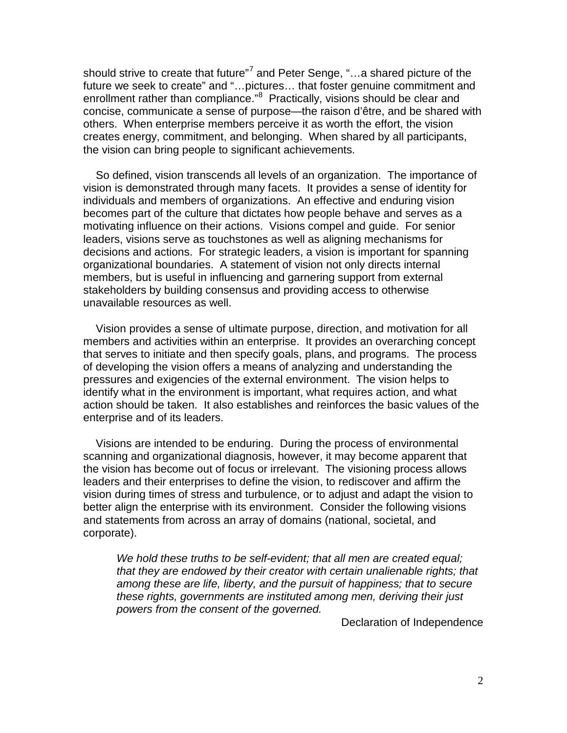should strive to create that future"<sup>[7](#page-7-6)</sup> and Peter Senge, "...a shared picture of the future we seek to create" and "…pictures… that foster genuine commitment and enrollment rather than compliance."<sup>[8](#page-7-7)</sup> Practically, visions should be clear and concise, communicate a sense of purpose—the raison d'être, and be shared with others. When enterprise members perceive it as worth the effort, the vision creates energy, commitment, and belonging. When shared by all participants, the vision can bring people to significant achievements.

So defined, vision transcends all levels of an organization. The importance of vision is demonstrated through many facets. It provides a sense of identity for individuals and members of organizations. An effective and enduring vision becomes part of the culture that dictates how people behave and serves as a motivating influence on their actions. Visions compel and guide. For senior leaders, visions serve as touchstones as well as aligning mechanisms for decisions and actions. For strategic leaders, a vision is important for spanning organizational boundaries. A statement of vision not only directs internal members, but is useful in influencing and garnering support from external stakeholders by building consensus and providing access to otherwise unavailable resources as well.

Vision provides a sense of ultimate purpose, direction, and motivation for all members and activities within an enterprise. It provides an overarching concept that serves to initiate and then specify goals, plans, and programs. The process of developing the vision offers a means of analyzing and understanding the pressures and exigencies of the external environment. The vision helps to identify what in the environment is important, what requires action, and what action should be taken. It also establishes and reinforces the basic values of the enterprise and of its leaders.

Visions are intended to be enduring. During the process of environmental scanning and organizational diagnosis, however, it may become apparent that the vision has become out of focus or irrelevant. The visioning process allows leaders and their enterprises to define the vision, to rediscover and affirm the vision during times of stress and turbulence, or to adjust and adapt the vision to better align the enterprise with its environment. Consider the following visions and statements from across an array of domains (national, societal, and corporate).

*We hold these truths to be self-evident; that all men are created equal; that they are endowed by their creator with certain unalienable rights; that among these are life, liberty, and the pursuit of happiness; that to secure these rights, governments are instituted among men, deriving their just powers from the consent of the governed.*

Declaration of Independence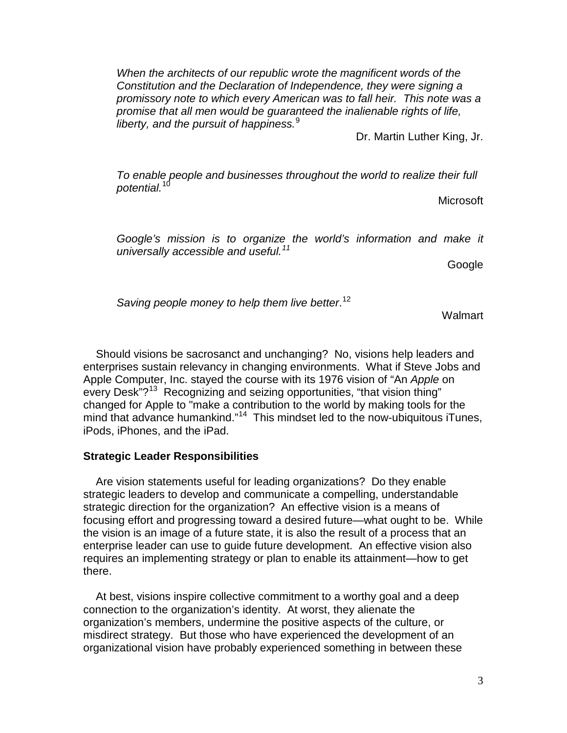*When the architects of our republic wrote the magnificent words of the Constitution and the Declaration of Independence, they were signing a promissory note to which every American was to fall heir. This note was a promise that all men would be guaranteed the inalienable rights of life, liberty, and the pursuit of happiness.* [9](#page-7-8)

Dr. Martin Luther King, Jr.

*To enable people and businesses throughout the world to realize their full potential.*[10](#page-7-9)

Microsoft

*Google's mission is to organize the world's information and make it universally accessible and useful. [11](#page-7-10)*

Google

*Saving people money to help them live better*. [12](#page-7-11)

**Walmart** 

Should visions be sacrosanct and unchanging? No, visions help leaders and enterprises sustain relevancy in changing environments. What if Steve Jobs and Apple Computer, Inc. stayed the course with its 1976 vision of "An *Apple* on every Desk"?<sup>[13](#page-7-12)</sup> Recognizing and seizing opportunities, "that vision thing" changed for Apple to "make a contribution to the world by making tools for the mind that advance humankind."<sup>14</sup> This mindset led to the now-ubiquitous iTunes, iPods, iPhones, and the iPad.

#### **Strategic Leader Responsibilities**

Are vision statements useful for leading organizations? Do they enable strategic leaders to develop and communicate a compelling, understandable strategic direction for the organization? An effective vision is a means of focusing effort and progressing toward a desired future—what ought to be. While the vision is an image of a future state, it is also the result of a process that an enterprise leader can use to guide future development. An effective vision also requires an implementing strategy or plan to enable its attainment—how to get there.

At best, visions inspire collective commitment to a worthy goal and a deep connection to the organization's identity. At worst, they alienate the organization's members, undermine the positive aspects of the culture, or misdirect strategy. But those who have experienced the development of an organizational vision have probably experienced something in between these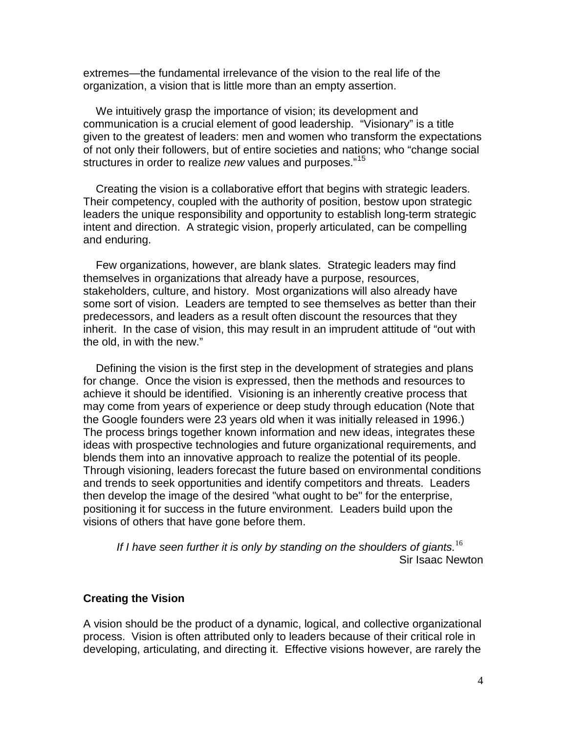extremes—the fundamental irrelevance of the vision to the real life of the organization, a vision that is little more than an empty assertion.

We intuitively grasp the importance of vision; its development and communication is a crucial element of good leadership. "Visionary" is a title given to the greatest of leaders: men and women who transform the expectations of not only their followers, but of entire societies and nations; who "change social structures in order to realize *new* values and purposes."[15](#page-7-14)

Creating the vision is a collaborative effort that begins with strategic leaders. Their competency, coupled with the authority of position, bestow upon strategic leaders the unique responsibility and opportunity to establish long-term strategic intent and direction. A strategic vision, properly articulated, can be compelling and enduring.

Few organizations, however, are blank slates. Strategic leaders may find themselves in organizations that already have a purpose, resources, stakeholders, culture, and history. Most organizations will also already have some sort of vision. Leaders are tempted to see themselves as better than their predecessors, and leaders as a result often discount the resources that they inherit. In the case of vision, this may result in an imprudent attitude of "out with the old, in with the new."

Defining the vision is the first step in the development of strategies and plans for change. Once the vision is expressed, then the methods and resources to achieve it should be identified. Visioning is an inherently creative process that may come from years of experience or deep study through education (Note that the Google founders were 23 years old when it was initially released in 1996.) The process brings together known information and new ideas, integrates these ideas with prospective technologies and future organizational requirements, and blends them into an innovative approach to realize the potential of its people. Through visioning, leaders forecast the future based on environmental conditions and trends to seek opportunities and identify competitors and threats. Leaders then develop the image of the desired "what ought to be" for the enterprise, positioning it for success in the future environment. Leaders build upon the visions of others that have gone before them.

*If I have seen further it is only by standing on the shoulders of giants.* [16](#page-7-15) Sir Isaac Newton

## **Creating the Vision**

A vision should be the product of a dynamic, logical, and collective organizational process. Vision is often attributed only to leaders because of their critical role in developing, articulating, and directing it. Effective visions however, are rarely the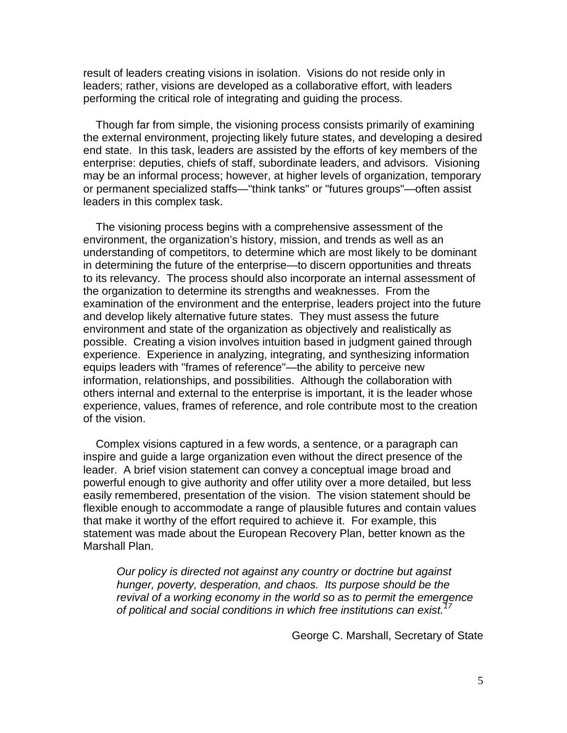result of leaders creating visions in isolation. Visions do not reside only in leaders; rather, visions are developed as a collaborative effort, with leaders performing the critical role of integrating and guiding the process.

Though far from simple, the visioning process consists primarily of examining the external environment, projecting likely future states, and developing a desired end state. In this task, leaders are assisted by the efforts of key members of the enterprise: deputies, chiefs of staff, subordinate leaders, and advisors. Visioning may be an informal process; however, at higher levels of organization, temporary or permanent specialized staffs—"think tanks" or "futures groups"—often assist leaders in this complex task.

The visioning process begins with a comprehensive assessment of the environment, the organization's history, mission, and trends as well as an understanding of competitors, to determine which are most likely to be dominant in determining the future of the enterprise—to discern opportunities and threats to its relevancy. The process should also incorporate an internal assessment of the organization to determine its strengths and weaknesses. From the examination of the environment and the enterprise, leaders project into the future and develop likely alternative future states. They must assess the future environment and state of the organization as objectively and realistically as possible. Creating a vision involves intuition based in judgment gained through experience. Experience in analyzing, integrating, and synthesizing information equips leaders with "frames of reference"—the ability to perceive new information, relationships, and possibilities. Although the collaboration with others internal and external to the enterprise is important, it is the leader whose experience, values, frames of reference, and role contribute most to the creation of the vision.

Complex visions captured in a few words, a sentence, or a paragraph can inspire and guide a large organization even without the direct presence of the leader. A brief vision statement can convey a conceptual image broad and powerful enough to give authority and offer utility over a more detailed, but less easily remembered, presentation of the vision. The vision statement should be flexible enough to accommodate a range of plausible futures and contain values that make it worthy of the effort required to achieve it. For example, this statement was made about the European Recovery Plan, better known as the Marshall Plan.

*Our policy is directed not against any country or doctrine but against hunger, poverty, desperation, and chaos. Its purpose should be the revival of a working economy in the world so as to permit the emergence of political and social conditions in which free institutions can exist.[17](#page-7-16)*

George C. Marshall, Secretary of State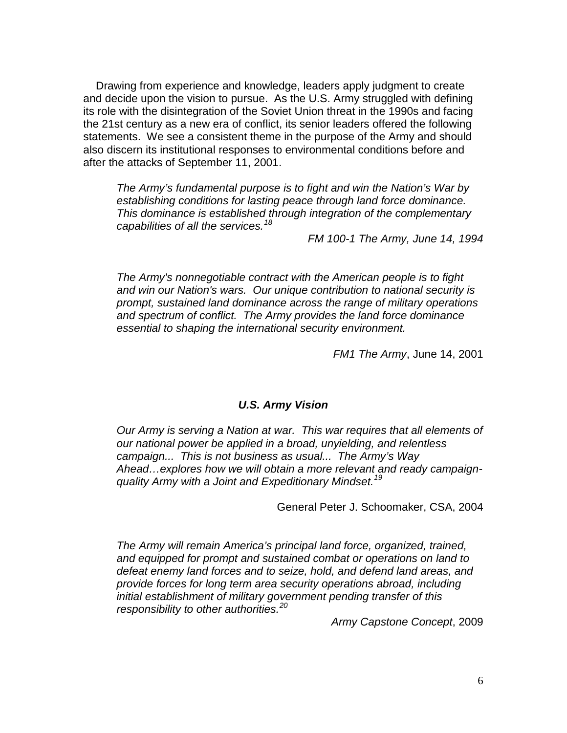Drawing from experience and knowledge, leaders apply judgment to create and decide upon the vision to pursue. As the U.S. Army struggled with defining its role with the disintegration of the Soviet Union threat in the 1990s and facing the 21st century as a new era of conflict, its senior leaders offered the following statements. We see a consistent theme in the purpose of the Army and should also discern its institutional responses to environmental conditions before and after the attacks of September 11, 2001.

*The Army's fundamental purpose is to fight and win the Nation's War by establishing conditions for lasting peace through land force dominance. This dominance is established through integration of the complementary capabilities of all the services.[18](#page-7-17)*

*FM 100-1 The Army, June 14, 1994*

*The Army's nonnegotiable contract with the American people is to fight and win our Nation's wars. Our unique contribution to national security is prompt, sustained land dominance across the range of military operations and spectrum of conflict. The Army provides the land force dominance essential to shaping the international security environment.*

*FM1 The Army*, June 14, 2001

## *U.S. Army Vision*

*Our Army is serving a Nation at war. This war requires that all elements of our national power be applied in a broad, unyielding, and relentless campaign... This is not business as usual... The Army's Way Ahead…explores how we will obtain a more relevant and ready campaignquality Army with a Joint and Expeditionary Mindset.[19](#page-7-18)*

General Peter J. Schoomaker, CSA, 2004

*The Army will remain America's principal land force, organized, trained, and equipped for prompt and sustained combat or operations on land to defeat enemy land forces and to seize, hold, and defend land areas, and provide forces for long term area security operations abroad, including initial establishment of military government pending transfer of this responsibility to other authorities. [20](#page-7-19)*

*Army Capstone Concept*, 2009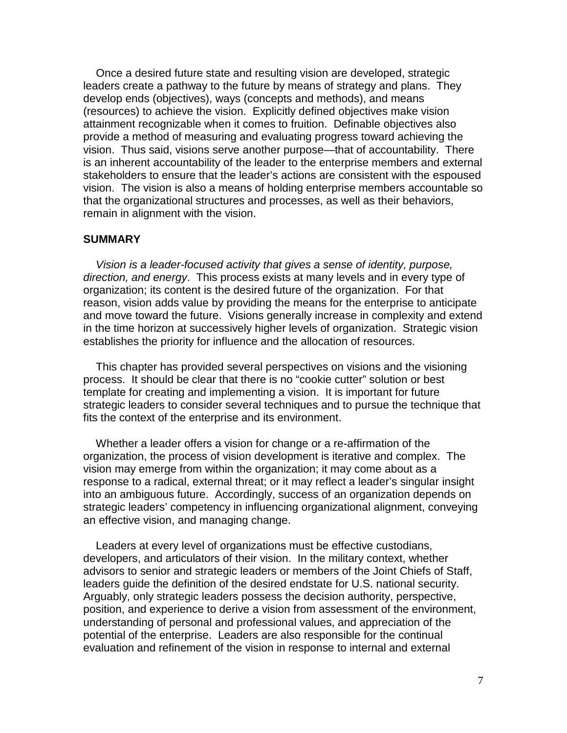Once a desired future state and resulting vision are developed, strategic leaders create a pathway to the future by means of strategy and plans. They develop ends (objectives), ways (concepts and methods), and means (resources) to achieve the vision. Explicitly defined objectives make vision attainment recognizable when it comes to fruition. Definable objectives also provide a method of measuring and evaluating progress toward achieving the vision. Thus said, visions serve another purpose—that of accountability. There is an inherent accountability of the leader to the enterprise members and external stakeholders to ensure that the leader's actions are consistent with the espoused vision. The vision is also a means of holding enterprise members accountable so that the organizational structures and processes, as well as their behaviors, remain in alignment with the vision.

## **SUMMARY**

*Vision is a leader-focused activity that gives a sense of identity, purpose, direction, and energy*. This process exists at many levels and in every type of organization; its content is the desired future of the organization. For that reason, vision adds value by providing the means for the enterprise to anticipate and move toward the future. Visions generally increase in complexity and extend in the time horizon at successively higher levels of organization. Strategic vision establishes the priority for influence and the allocation of resources.

This chapter has provided several perspectives on visions and the visioning process. It should be clear that there is no "cookie cutter" solution or best template for creating and implementing a vision. It is important for future strategic leaders to consider several techniques and to pursue the technique that fits the context of the enterprise and its environment.

Whether a leader offers a vision for change or a re-affirmation of the organization, the process of vision development is iterative and complex. The vision may emerge from within the organization; it may come about as a response to a radical, external threat; or it may reflect a leader's singular insight into an ambiguous future. Accordingly, success of an organization depends on strategic leaders' competency in influencing organizational alignment, conveying an effective vision, and managing change.

Leaders at every level of organizations must be effective custodians, developers, and articulators of their vision. In the military context, whether advisors to senior and strategic leaders or members of the Joint Chiefs of Staff, leaders guide the definition of the desired endstate for U.S. national security. Arguably, only strategic leaders possess the decision authority, perspective, position, and experience to derive a vision from assessment of the environment, understanding of personal and professional values, and appreciation of the potential of the enterprise. Leaders are also responsible for the continual evaluation and refinement of the vision in response to internal and external